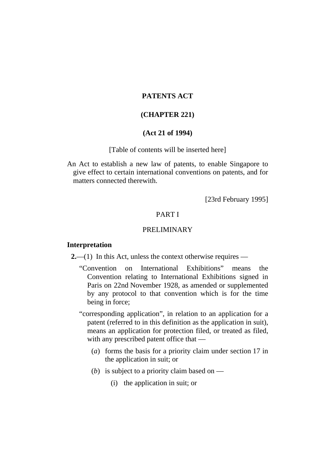# **PATENTS ACT**

## **(CHAPTER 221)**

# **(Act 21 of 1994)**

#### [Table of contents will be inserted here]

An Act to establish a new law of patents, to enable Singapore to give effect to certain international conventions on patents, and for matters connected therewith.

[23rd February 1995]

# PART I

## PRELIMINARY

### **Interpretation**

**2.**—(1) In this Act, unless the context otherwise requires —

"Convention on International Exhibitions" means the Convention relating to International Exhibitions signed in Paris on 22nd November 1928, as amended or supplemented by any protocol to that convention which is for the time being in force;

"corresponding application", in relation to an application for a patent (referred to in this definition as the application in suit), means an application for protection filed, or treated as filed, with any prescribed patent office that —

- (*a*) forms the basis for a priority claim under section 17 in the application in suit; or
- (*b*) is subject to a priority claim based on
	- (i) the application in suit; or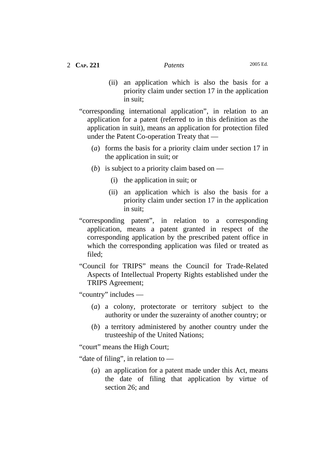- (ii) an application which is also the basis for a priority claim under section 17 in the application in suit;
- "corresponding international application", in relation to an application for a patent (referred to in this definition as the application in suit), means an application for protection filed under the Patent Co-operation Treaty that —
	- (*a*) forms the basis for a priority claim under section 17 in the application in suit; or
	- (*b*) is subject to a priority claim based on
		- (i) the application in suit; or
		- (ii) an application which is also the basis for a priority claim under section 17 in the application in suit;
- "corresponding patent", in relation to a corresponding application, means a patent granted in respect of the corresponding application by the prescribed patent office in which the corresponding application was filed or treated as filed;
- "Council for TRIPS" means the Council for Trade-Related Aspects of Intellectual Property Rights established under the TRIPS Agreement;

"country" includes —

- (*a*) a colony, protectorate or territory subject to the authority or under the suzerainty of another country; or
- (*b*) a territory administered by another country under the trusteeship of the United Nations;

"court" means the High Court;

"date of filing", in relation to —

 (*a*) an application for a patent made under this Act, means the date of filing that application by virtue of section 26; and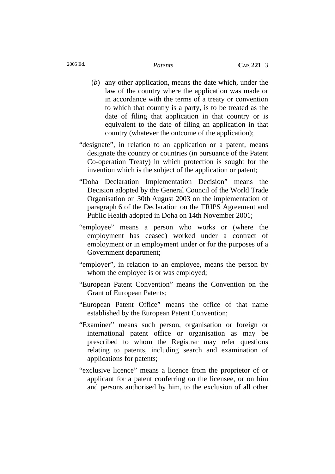- (*b*) any other application, means the date which, under the law of the country where the application was made or in accordance with the terms of a treaty or convention to which that country is a party, is to be treated as the date of filing that application in that country or is equivalent to the date of filing an application in that country (whatever the outcome of the application);
- "designate", in relation to an application or a patent, means designate the country or countries (in pursuance of the Patent Co-operation Treaty) in which protection is sought for the invention which is the subject of the application or patent;
- "Doha Declaration Implementation Decision" means the Decision adopted by the General Council of the World Trade Organisation on 30th August 2003 on the implementation of paragraph 6 of the Declaration on the TRIPS Agreement and Public Health adopted in Doha on 14th November 2001;
- "employee" means a person who works or (where the employment has ceased) worked under a contract of employment or in employment under or for the purposes of a Government department;
- "employer", in relation to an employee, means the person by whom the employee is or was employed;
- "European Patent Convention" means the Convention on the Grant of European Patents;
- "European Patent Office" means the office of that name established by the European Patent Convention;
- "Examiner" means such person, organisation or foreign or international patent office or organisation as may be prescribed to whom the Registrar may refer questions relating to patents, including search and examination of applications for patents;
- "exclusive licence" means a licence from the proprietor of or applicant for a patent conferring on the licensee, or on him and persons authorised by him, to the exclusion of all other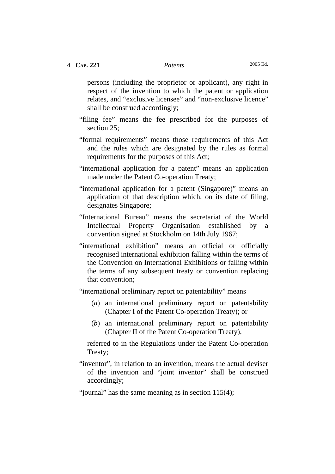persons (including the proprietor or applicant), any right in respect of the invention to which the patent or application relates, and "exclusive licensee" and "non-exclusive licence" shall be construed accordingly;

- "filing fee" means the fee prescribed for the purposes of section 25:
- "formal requirements" means those requirements of this Act and the rules which are designated by the rules as formal requirements for the purposes of this Act;
- "international application for a patent" means an application made under the Patent Co-operation Treaty;
- "international application for a patent (Singapore)" means an application of that description which, on its date of filing, designates Singapore;
- "International Bureau" means the secretariat of the World Intellectual Property Organisation established by a convention signed at Stockholm on 14th July 1967;
- "international exhibition" means an official or officially recognised international exhibition falling within the terms of the Convention on International Exhibitions or falling within the terms of any subsequent treaty or convention replacing that convention;

"international preliminary report on patentability" means —

- (*a*) an international preliminary report on patentability (Chapter I of the Patent Co-operation Treaty); or
- (*b*) an international preliminary report on patentability (Chapter II of the Patent Co-operation Treaty),

referred to in the Regulations under the Patent Co-operation Treaty;

"inventor", in relation to an invention, means the actual deviser of the invention and "joint inventor" shall be construed accordingly;

"journal" has the same meaning as in section 115(4);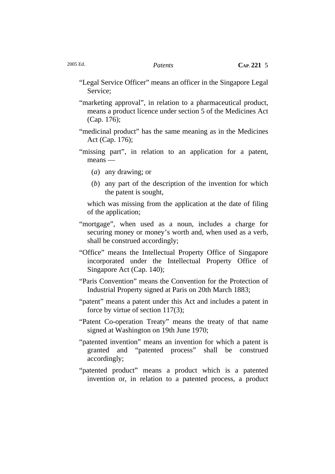"Legal Service Officer" means an officer in the Singapore Legal Service;

"marketing approval", in relation to a pharmaceutical product, means a product licence under section 5 of the Medicines Act (Cap. 176);

- "medicinal product" has the same meaning as in the Medicines Act (Cap. 176);
- "missing part", in relation to an application for a patent, means —
	- (*a*) any drawing; or
	- (*b*) any part of the description of the invention for which the patent is sought,

which was missing from the application at the date of filing of the application;

- "mortgage", when used as a noun, includes a charge for securing money or money's worth and, when used as a verb, shall be construed accordingly;
- "Office" means the Intellectual Property Office of Singapore incorporated under the Intellectual Property Office of Singapore Act (Cap. 140);
- "Paris Convention" means the Convention for the Protection of Industrial Property signed at Paris on 20th March 1883;
- "patent" means a patent under this Act and includes a patent in force by virtue of section 117(3);
- "Patent Co-operation Treaty" means the treaty of that name signed at Washington on 19th June 1970;
- "patented invention" means an invention for which a patent is granted and "patented process" shall be construed accordingly;
- "patented product" means a product which is a patented invention or, in relation to a patented process, a product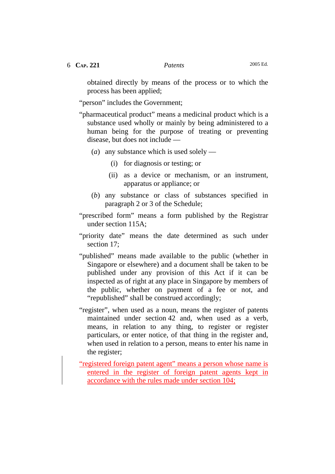obtained directly by means of the process or to which the process has been applied;

"person" includes the Government;

- "pharmaceutical product" means a medicinal product which is a substance used wholly or mainly by being administered to a human being for the purpose of treating or preventing disease, but does not include —
	- (*a*) any substance which is used solely
		- (i) for diagnosis or testing; or
		- (ii) as a device or mechanism, or an instrument, apparatus or appliance; or
	- (*b*) any substance or class of substances specified in paragraph 2 or 3 of the Schedule;
- "prescribed form" means a form published by the Registrar under section 115A;
- "priority date" means the date determined as such under section 17;
- "published" means made available to the public (whether in Singapore or elsewhere) and a document shall be taken to be published under any provision of this Act if it can be inspected as of right at any place in Singapore by members of the public, whether on payment of a fee or not, and "republished" shall be construed accordingly;
- "register", when used as a noun, means the register of patents maintained under section 42 and, when used as a verb, means, in relation to any thing, to register or register particulars, or enter notice, of that thing in the register and, when used in relation to a person, means to enter his name in the register;
- "registered foreign patent agent" means a person whose name is entered in the register of foreign patent agents kept in accordance with the rules made under section 104;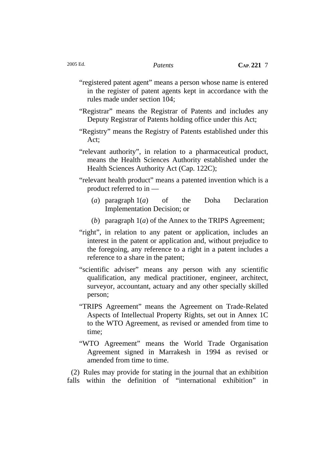- "registered patent agent" means a person whose name is entered in the register of patent agents kept in accordance with the rules made under section 104;
- "Registrar" means the Registrar of Patents and includes any Deputy Registrar of Patents holding office under this Act;
- "Registry" means the Registry of Patents established under this Act;
- "relevant authority", in relation to a pharmaceutical product, means the Health Sciences Authority established under the Health Sciences Authority Act (Cap. 122C);
- "relevant health product" means a patented invention which is a product referred to in —
	- (*a*) paragraph 1(*a*) of the Doha Declaration Implementation Decision; or
	- (*b*) paragraph 1(*a*) of the Annex to the TRIPS Agreement;
- "right", in relation to any patent or application, includes an interest in the patent or application and, without prejudice to the foregoing, any reference to a right in a patent includes a reference to a share in the patent;
- "scientific adviser" means any person with any scientific qualification, any medical practitioner, engineer, architect, surveyor, accountant, actuary and any other specially skilled person;
- "TRIPS Agreement" means the Agreement on Trade-Related Aspects of Intellectual Property Rights, set out in Annex 1C to the WTO Agreement, as revised or amended from time to time;
- "WTO Agreement" means the World Trade Organisation Agreement signed in Marrakesh in 1994 as revised or amended from time to time.

(2) Rules may provide for stating in the journal that an exhibition falls within the definition of "international exhibition" in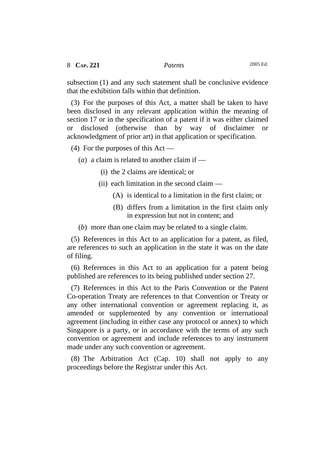subsection (1) and any such statement shall be conclusive evidence that the exhibition falls within that definition.

(3) For the purposes of this Act, a matter shall be taken to have been disclosed in any relevant application within the meaning of section 17 or in the specification of a patent if it was either claimed or disclosed (otherwise than by way of disclaimer or acknowledgment of prior art) in that application or specification.

(4) For the purposes of this Act —

(*a*) a claim is related to another claim if —

- (i) the 2 claims are identical; or
- (ii) each limitation in the second claim
	- (A) is identical to a limitation in the first claim; or
	- (B) differs from a limitation in the first claim only in expression but not in content; and
- (*b*) more than one claim may be related to a single claim.

(5) References in this Act to an application for a patent, as filed, are references to such an application in the state it was on the date of filing.

(6) References in this Act to an application for a patent being published are references to its being published under section 27.

(7) References in this Act to the Paris Convention or the Patent Co-operation Treaty are references to that Convention or Treaty or any other international convention or agreement replacing it, as amended or supplemented by any convention or international agreement (including in either case any protocol or annex) to which Singapore is a party, or in accordance with the terms of any such convention or agreement and include references to any instrument made under any such convention or agreement.

(8) The Arbitration Act (Cap. 10) shall not apply to any proceedings before the Registrar under this Act.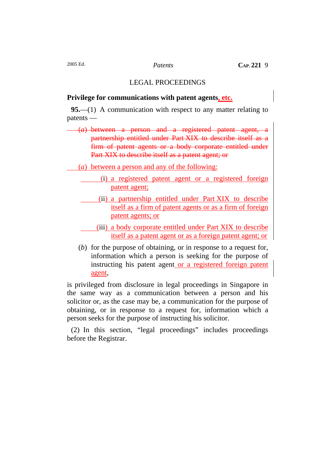# LEGAL PROCEEDINGS

#### **Privilege for communications with patent agents, etc.**

**95.**—(1) A communication with respect to any matter relating to patents —

(*a*) between a person and a registered patent agent, a partnership entitled under Part XIX to describe itself as a firm of patent agents or a body corporate entitled under Part XIX to describe itself as a patent agent; or

- (*a*) between a person and any of the following:
	- (i) a registered patent agent or a registered foreign patent agent;
	- (ii) a partnership entitled under Part XIX to describe itself as a firm of patent agents or as a firm of foreign patent agents; or
	- (iii) a body corporate entitled under Part XIX to describe itself as a patent agent or as a foreign patent agent; or
	- (*b*) for the purpose of obtaining, or in response to a request for, information which a person is seeking for the purpose of instructing his patent agent or a registered foreign patent agent,

is privileged from disclosure in legal proceedings in Singapore in the same way as a communication between a person and his solicitor or, as the case may be, a communication for the purpose of obtaining, or in response to a request for, information which a person seeks for the purpose of instructing his solicitor.

(2) In this section, "legal proceedings" includes proceedings before the Registrar.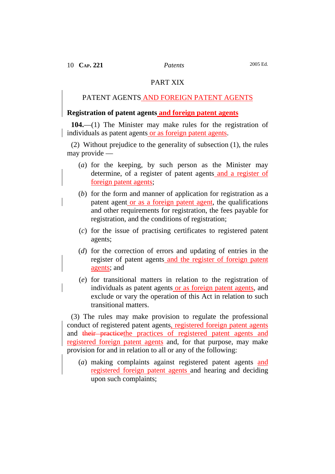## PART XIX

# PATENT AGENTS AND FOREIGN PATENT AGENTS

### **Registration of patent agents and foreign patent agents**

**104.**—(1) The Minister may make rules for the registration of individuals as patent agents or as foreign patent agents.

(2) Without prejudice to the generality of subsection (1), the rules may provide —

- (*a*) for the keeping, by such person as the Minister may determine, of a register of patent agents and a register of foreign patent agents;
- (*b*) for the form and manner of application for registration as a patent agent or as a foreign patent agent, the qualifications and other requirements for registration, the fees payable for registration, and the conditions of registration;
- (*c*) for the issue of practising certificates to registered patent agents;
- (*d*) for the correction of errors and updating of entries in the register of patent agents and the register of foreign patent agents; and
- (*e*) for transitional matters in relation to the registration of individuals as patent agents or as foreign patent agents, and exclude or vary the operation of this Act in relation to such transitional matters.

(3) The rules may make provision to regulate the professional conduct of registered patent agents, registered foreign patent agents and their practicethe practices of registered patent agents and registered foreign patent agents and, for that purpose, may make provision for and in relation to all or any of the following:

 (*a*) making complaints against registered patent agents and registered foreign patent agents and hearing and deciding upon such complaints;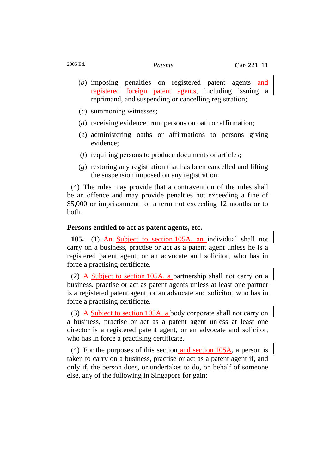- (*b*) imposing penalties on registered patent agents and registered foreign patent agents, including issuing a reprimand, and suspending or cancelling registration;
- (*c*) summoning witnesses;
- (*d*) receiving evidence from persons on oath or affirmation;
- (*e*) administering oaths or affirmations to persons giving evidence;
- (*f*) requiring persons to produce documents or articles;
- (*g*) restoring any registration that has been cancelled and lifting the suspension imposed on any registration.

(4) The rules may provide that a contravention of the rules shall be an offence and may provide penalties not exceeding a fine of \$5,000 or imprisonment for a term not exceeding 12 months or to both.

#### **Persons entitled to act as patent agents, etc.**

**105.**—(1) An Subject to section 105A, an individual shall not carry on a business, practise or act as a patent agent unless he is a registered patent agent, or an advocate and solicitor, who has in force a practising certificate.

(2) A Subject to section 105A, a partnership shall not carry on a business, practise or act as patent agents unless at least one partner is a registered patent agent, or an advocate and solicitor, who has in force a practising certificate.

(3) A Subject to section 105A, a body corporate shall not carry on a business, practise or act as a patent agent unless at least one director is a registered patent agent, or an advocate and solicitor, who has in force a practising certificate.

(4) For the purposes of this section and section 105A, a person is taken to carry on a business, practise or act as a patent agent if, and only if, the person does, or undertakes to do, on behalf of someone else, any of the following in Singapore for gain: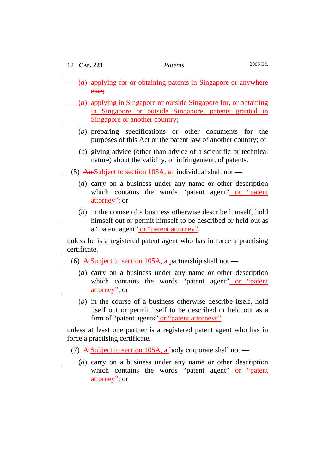| 12 CAP. 221                                                                                            |                                                                                                                                                                                   | Patents | 2005 Ed. |
|--------------------------------------------------------------------------------------------------------|-----------------------------------------------------------------------------------------------------------------------------------------------------------------------------------|---------|----------|
|                                                                                                        | $(a)$ applying for or obtaining patents in Singapore or anywhere<br>else;                                                                                                         |         |          |
|                                                                                                        | (a) applying in Singapore or outside Singapore for, or obtaining<br>in Singapore or outside Singapore, patents granted in<br><u>Singapore or another country:</u>                 |         |          |
|                                                                                                        | (b) preparing specifications or other documents<br>purposes of this Act or the patent law of another country; or                                                                  |         | for the  |
|                                                                                                        | (c) giving advice (other than advice of a scientific or technical<br>nature) about the validity, or infringement, of patents.                                                     |         |          |
| (5) An-Subject to section 105A, an individual shall not —                                              |                                                                                                                                                                                   |         |          |
|                                                                                                        | (a) carry on a business under any name or other description<br>which contains the words "patent agent" or "patent<br>attorney"; or                                                |         |          |
|                                                                                                        | $(b)$ in the course of a business otherwise describe himself, hold<br>himself out or permit himself to be described or held out as<br>a "patent agent" or "patent attorney",      |         |          |
| unless he is a registered patent agent who has in force a practising<br>certificate.                   |                                                                                                                                                                                   |         |          |
| (6) A-Subject to section 105A, a partnership shall not —                                               |                                                                                                                                                                                   |         |          |
|                                                                                                        | $(a)$ carry on a business under any name or other description<br>which contains the words "patent agent" or "patent<br>attorney"; or                                              |         |          |
|                                                                                                        | (b) in the course of a business otherwise describe itself, hold<br>itself out or permit itself to be described or held out as a<br>firm of "patent agents" or "patent attorneys", |         |          |
| unless at least one partner is a registered patent agent who has in<br>force a practising certificate. |                                                                                                                                                                                   |         |          |

- (7) A Subject to section 105A, a body corporate shall not —
- (*a*) carry on a business under any name or other description which contains the words "patent agent" or "patent attorney"; or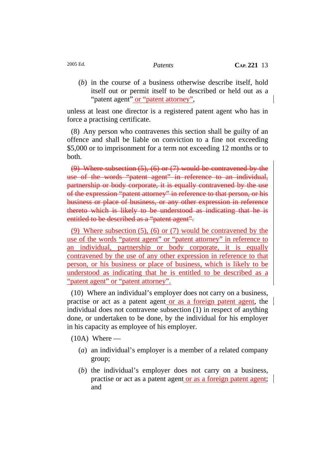(*b*) in the course of a business otherwise describe itself, hold itself out or permit itself to be described or held out as a "patent agent" or "patent attorney",

unless at least one director is a registered patent agent who has in force a practising certificate.

(8) Any person who contravenes this section shall be guilty of an offence and shall be liable on conviction to a fine not exceeding \$5,000 or to imprisonment for a term not exceeding 12 months or to both.

(9) Where subsection  $(5)$ ,  $(6)$  or  $(7)$  would be contravened by the use of the words "patent agent" in reference to an individual, partnership or body corporate, it is equally contravened by the use of the expression "patent attorney" in reference to that person, or his business or place of business, or any other expression in reference thereto which is likely to be understood as indicating that he is entitled to be described as a "patent agent".

(9) Where subsection (5), (6) or (7) would be contravened by the use of the words "patent agent" or "patent attorney" in reference to an individual, partnership or body corporate, it is equally contravened by the use of any other expression in reference to that person, or his business or place of business, which is likely to be understood as indicating that he is entitled to be described as a "patent agent" or "patent attorney".

(10) Where an individual's employer does not carry on a business, practise or act as a patent agent or as a foreign patent agent, the individual does not contravene subsection (1) in respect of anything done, or undertaken to be done, by the individual for his employer in his capacity as employee of his employer.

 $(10A)$  Where —

- (*a*) an individual's employer is a member of a related company group;
- (*b*) the individual's employer does not carry on a business, practise or act as a patent agent or as a foreign patent agent; and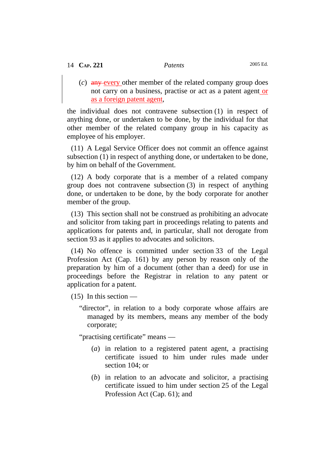(*c*) any every other member of the related company group does not carry on a business, practise or act as a patent agent or as a foreign patent agent,

the individual does not contravene subsection (1) in respect of anything done, or undertaken to be done, by the individual for that other member of the related company group in his capacity as employee of his employer.

(11) A Legal Service Officer does not commit an offence against subsection (1) in respect of anything done, or undertaken to be done, by him on behalf of the Government.

(12) A body corporate that is a member of a related company group does not contravene subsection (3) in respect of anything done, or undertaken to be done, by the body corporate for another member of the group.

(13) This section shall not be construed as prohibiting an advocate and solicitor from taking part in proceedings relating to patents and applications for patents and, in particular, shall not derogate from section 93 as it applies to advocates and solicitors.

(14) No offence is committed under section 33 of the Legal Profession Act (Cap. 161) by any person by reason only of the preparation by him of a document (other than a deed) for use in proceedings before the Registrar in relation to any patent or application for a patent.

 $(15)$  In this section —

"director", in relation to a body corporate whose affairs are managed by its members, means any member of the body corporate;

"practising certificate" means —

- (*a*) in relation to a registered patent agent, a practising certificate issued to him under rules made under section 104; or
- (*b*) in relation to an advocate and solicitor, a practising certificate issued to him under section 25 of the Legal Profession Act (Cap. 61); and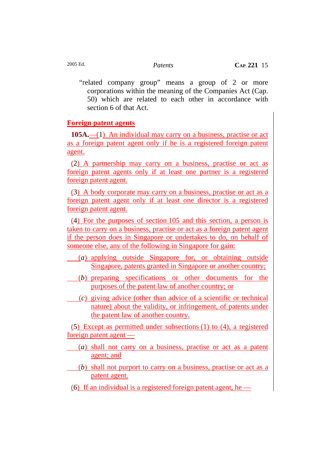"related company group" means a group of 2 or more corporations within the meaning of the Companies Act (Cap. 50) which are related to each other in accordance with section 6 of that Act.

# **Foreign patent agents**

**105A.**—(1) An individual may carry on a business, practise or act as a foreign patent agent only if he is a registered foreign patent agent.

(2) A partnership may carry on a business, practise or act as foreign patent agents only if at least one partner is a registered foreign patent agent.

(3) A body corporate may carry on a business, practise or act as a foreign patent agent only if at least one director is a registered foreign patent agent.

(4) For the purposes of section 105 and this section, a person is taken to carry on a business, practise or act as a foreign patent agent if the person does in Singapore or undertakes to do, on behalf of someone else, any of the following in Singapore for gain:

- (*a*) applying outside Singapore for, or obtaining outside Singapore, patents granted in Singapore or another country;
- (*b*) preparing specifications or other documents for the purposes of the patent law of another country; or
	- (*c*) giving advice (other than advice of a scientific or technical nature) about the validity, or infringement, of patents under the patent law of another country.

(5) Except as permitted under subsections (1) to (4), a registered foreign patent agent —

- (*a*) shall not carry on a business, practise or act as a patent agent; and
- (*b*) shall not purport to carry on a business, practise or act as a patent agent.
- (6) If an individual is a registered foreign patent agent, he  $-$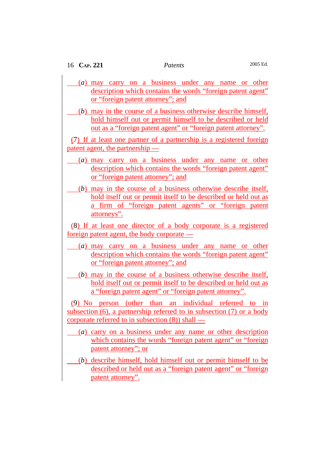- (*a*) may carry on a business under any name or other description which contains the words "foreign patent agent" or "foreign patent attorney"; and
- (*b*) may in the course of a business otherwise describe himself, hold himself out or permit himself to be described or held out as a "foreign patent agent" or "foreign patent attorney".

(7) If at least one partner of a partnership is a registered foreign patent agent, the partnership —

- (*a*) may carry on a business under any name or other description which contains the words "foreign patent agent" or "foreign patent attorney"; and
- (*b*) may in the course of a business otherwise describe itself, hold itself out or permit itself to be described or held out as a firm of "foreign patent agents" or "foreign patent attorneys".

(8) If at least one director of a body corporate is a registered foreign patent agent, the body corporate —

- (*a*) may carry on a business under any name or other description which contains the words "foreign patent agent" or "foreign patent attorney"; and
- (*b*) may in the course of a business otherwise describe itself, hold itself out or permit itself to be described or held out as a "foreign patent agent" or "foreign patent attorney".

(9) No person (other than an individual referred to in subsection (6), a partnership referred to in subsection (7) or a body corporate referred to in subsection (8)) shall —

- (*a*) carry on a business under any name or other description which contains the words "foreign patent agent" or "foreign patent attorney"; or
- (*b*) describe himself, hold himself out or permit himself to be described or held out as a "foreign patent agent" or "foreign patent attorney".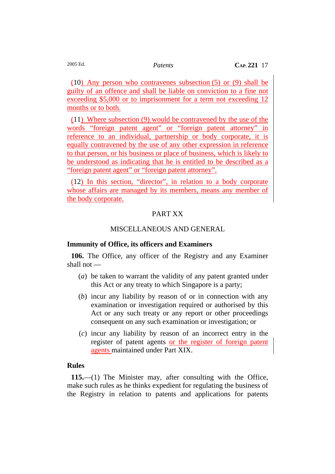(10) Any person who contravenes subsection (5) or (9) shall be guilty of an offence and shall be liable on conviction to a fine not exceeding \$5,000 or to imprisonment for a term not exceeding 12 months or to both.

(11) Where subsection (9) would be contravened by the use of the words "foreign patent agent" or "foreign patent attorney" in reference to an individual, partnership or body corporate, it is equally contravened by the use of any other expression in reference to that person, or his business or place of business, which is likely to be understood as indicating that he is entitled to be described as a "foreign patent agent" or "foreign patent attorney".

(12) In this section, "director", in relation to a body corporate whose affairs are managed by its members, means any member of the body corporate.

# PART XX

# MISCELLANEOUS AND GENERAL

## **Immunity of Office, its officers and Examiners**

**106.** The Office, any officer of the Registry and any Examiner shall not —

- (*a*) be taken to warrant the validity of any patent granted under this Act or any treaty to which Singapore is a party;
- (*b*) incur any liability by reason of or in connection with any examination or investigation required or authorised by this Act or any such treaty or any report or other proceedings consequent on any such examination or investigation; or
- (*c*) incur any liability by reason of an incorrect entry in the register of patent agents or the register of foreign patent agents maintained under Part XIX.

## **Rules**

**115.**—(1) The Minister may, after consulting with the Office, make such rules as he thinks expedient for regulating the business of the Registry in relation to patents and applications for patents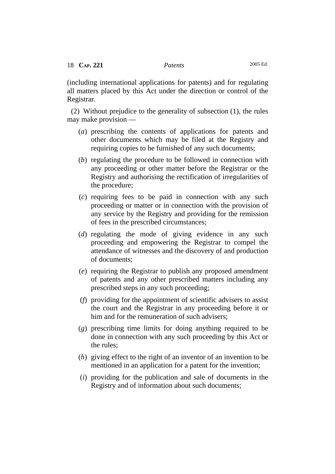(including international applications for patents) and for regulating all matters placed by this Act under the direction or control of the Registrar.

(2) Without prejudice to the generality of subsection (1), the rules may make provision —

- (*a*) prescribing the contents of applications for patents and other documents which may be filed at the Registry and requiring copies to be furnished of any such documents;
- (*b*) regulating the procedure to be followed in connection with any proceeding or other matter before the Registrar or the Registry and authorising the rectification of irregularities of the procedure;
- (*c*) requiring fees to be paid in connection with any such proceeding or matter or in connection with the provision of any service by the Registry and providing for the remission of fees in the prescribed circumstances;
- (*d*) regulating the mode of giving evidence in any such proceeding and empowering the Registrar to compel the attendance of witnesses and the discovery of and production of documents;
- (*e*) requiring the Registrar to publish any proposed amendment of patents and any other prescribed matters including any prescribed steps in any such proceeding;
- (*f*) providing for the appointment of scientific advisers to assist the court and the Registrar in any proceeding before it or him and for the remuneration of such advisers;
- (*g*) prescribing time limits for doing anything required to be done in connection with any such proceeding by this Act or the rules;
- (*h*) giving effect to the right of an inventor of an invention to be mentioned in an application for a patent for the invention;
- (*i*) providing for the publication and sale of documents in the Registry and of information about such documents;